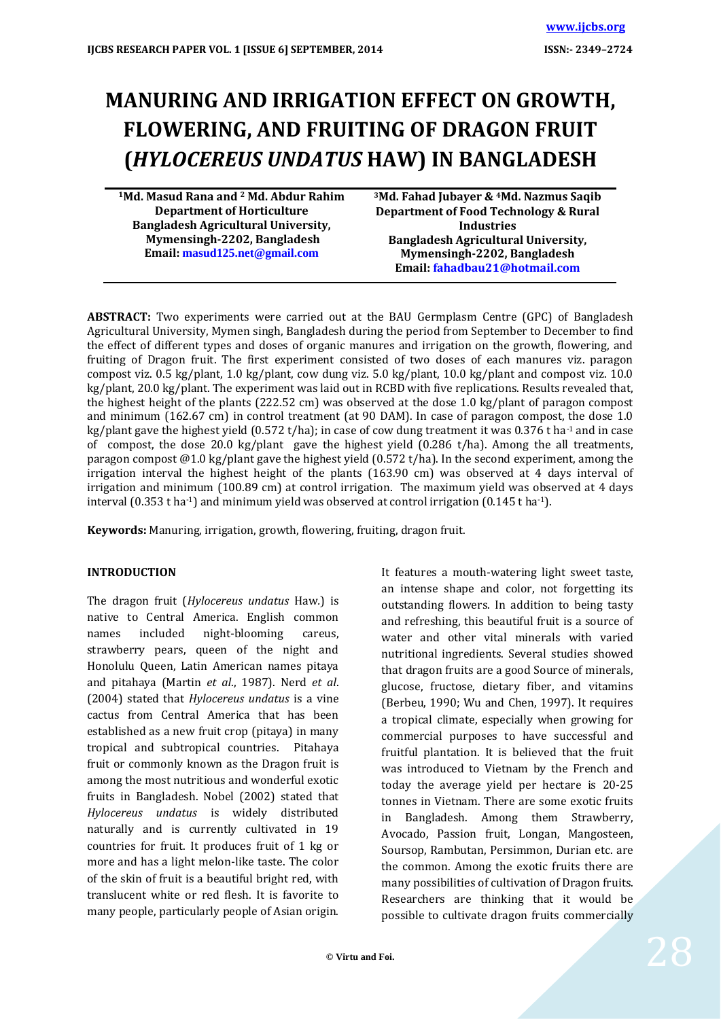# **MANURING AND IRRIGATION EFFECT ON GROWTH, FLOWERING, AND FRUITING OF DRAGON FRUIT (***HYLOCEREUS UNDATUS* **HAW) IN BANGLADESH**

**<sup>1</sup>Md. Masud Rana and <sup>2</sup> Md. Abdur Rahim Department of Horticulture Bangladesh Agricultural University, Mymensingh-2202, Bangladesh Email: [masud125.net@gmail.com](mailto:masud125.net@gmail.com)**

**<sup>3</sup>Md. Fahad Jubayer & <sup>4</sup>Md. Nazmus Saqib Department of Food Technology & Rural Industries Bangladesh Agricultural University, Mymensingh-2202, Bangladesh Email[: fahadbau21@hotmail.com](mailto:fahadbau21@hotmail.com)**

**ABSTRACT:** Two experiments were carried out at the BAU Germplasm Centre (GPC) of Bangladesh Agricultural University, Mymen singh, Bangladesh during the period from September to December to find the effect of different types and doses of organic manures and irrigation on the growth, flowering, and fruiting of Dragon fruit. The first experiment consisted of two doses of each manures viz. paragon compost viz. 0.5 kg/plant, 1.0 kg/plant, cow dung viz. 5.0 kg/plant, 10.0 kg/plant and compost viz. 10.0 kg/plant, 20.0 kg/plant. The experiment was laid out in RCBD with five replications. Results revealed that, the highest height of the plants (222.52 cm) was observed at the dose 1.0 kg/plant of paragon compost and minimum (162.67 cm) in control treatment (at 90 DAM). In case of paragon compost, the dose 1.0 kg/plant gave the highest yield (0.572 t/ha); in case of cow dung treatment it was  $0.376$  t ha<sup>-1</sup> and in case of compost, the dose 20.0 kg/plant gave the highest yield  $(0.286 \text{ t/ha})$ . Among the all treatments, paragon compost  $@1.0$  kg/plant gave the highest yield (0.572 t/ha). In the second experiment, among the irrigation interval the highest height of the plants (163.90 cm) was observed at 4 days interval of irrigation and minimum (100.89 cm) at control irrigation. The maximum yield was observed at 4 days interval  $(0.353 \text{ t} \text{ ha}^{-1})$  and minimum yield was observed at control irrigation  $(0.145 \text{ t} \text{ ha}^{-1})$ .

**Keywords:** Manuring, irrigation, growth, flowering, fruiting, dragon fruit.

## **INTRODUCTION**

The dragon fruit (*Hylocereus undatus* Haw*.*) is native to Central America. English common names included night-blooming careus, strawberry pears, queen of the night and Honolulu Queen, Latin American names pitaya and pitahaya (Martin *et al*., 1987). Nerd *et al*. (2004) stated that *Hylocereus undatus* is a vine cactus from Central America that has been established as a new fruit crop (pitaya) in many tropical and subtropical countries. Pitahaya fruit or commonly known as the Dragon fruit is among the most nutritious and wonderful exotic fruits in Bangladesh. Nobel (2002) stated that *Hylocereus undatus* is widely distributed naturally and is currently cultivated in 19 countries for fruit. It produces fruit of 1 kg or more and has a light melon-like taste. The color of the skin of fruit is a beautiful bright red, with translucent white or red flesh. It is favorite to many people, particularly people of Asian origin.

It features a mouth-watering light sweet taste, an intense shape and color, not forgetting its outstanding flowers. In addition to being tasty and refreshing, this beautiful fruit is a source of water and other vital minerals with varied nutritional ingredients. Several studies showed that dragon fruits are a good Source of minerals, glucose, fructose, dietary fiber, and vitamins (Berbeu, 1990; Wu and Chen, 1997). It requires a tropical climate, especially when growing for commercial purposes to have successful and fruitful plantation. It is believed that the fruit was introduced to Vietnam by the French and today the average yield per hectare is 20-25 tonnes in Vietnam. There are some exotic fruits in Bangladesh. Among them Strawberry, Avocado, Passion fruit, Longan, Mangosteen, Soursop, Rambutan, Persimmon, Durian etc. are the common. Among the exotic fruits there are many possibilities of cultivation of Dragon fruits. Researchers are thinking that it would be possible to cultivate dragon fruits commercially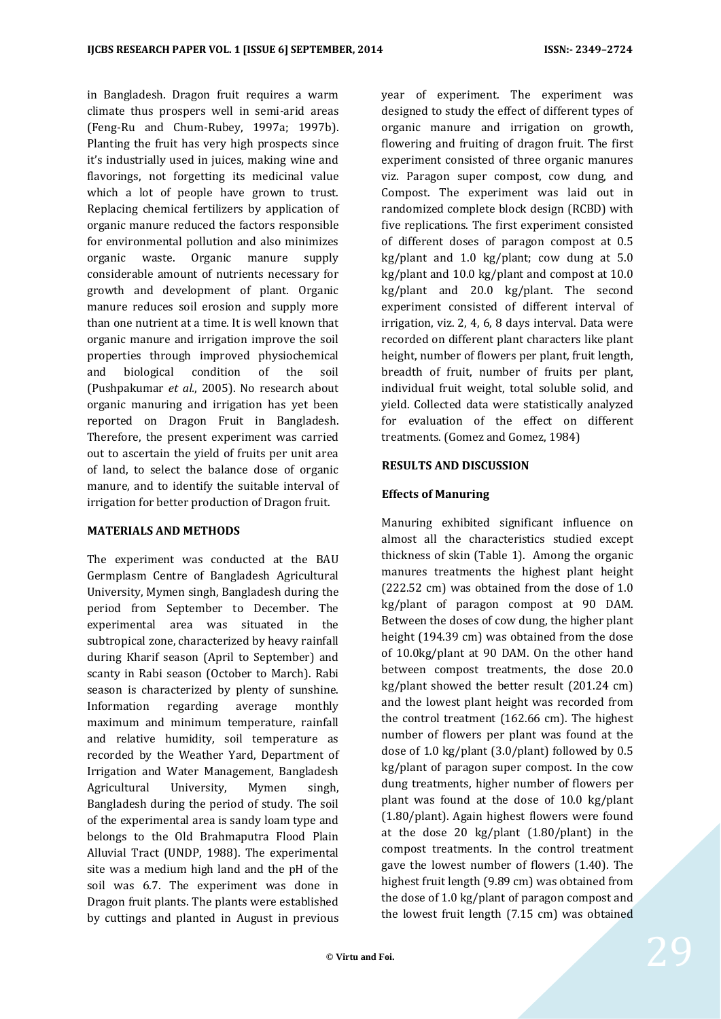in Bangladesh. Dragon fruit requires a warm climate thus prospers well in semi-arid areas (Feng-Ru and Chum-Rubey, 1997a; 1997b). Planting the fruit has very high prospects since it's industrially used in juices, making wine and flavorings, not forgetting its medicinal value which a lot of people have grown to trust. Replacing chemical fertilizers by application of organic manure reduced the factors responsible for environmental pollution and also minimizes organic waste. Organic manure supply considerable amount of nutrients necessary for growth and development of plant. Organic manure reduces soil erosion and supply more than one nutrient at a time. It is well known that organic manure and irrigation improve the soil properties through improved physiochemical and biological condition of the soil (Pushpakumar *et al.*, 2005). No research about organic manuring and irrigation has yet been reported on Dragon Fruit in Bangladesh. Therefore, the present experiment was carried out to ascertain the yield of fruits per unit area of land, to select the balance dose of organic manure, and to identify the suitable interval of irrigation for better production of Dragon fruit.

## **MATERIALS AND METHODS**

The experiment was conducted at the BAU Germplasm Centre of Bangladesh Agricultural University, Mymen singh, Bangladesh during the period from September to December. The experimental area was situated in the subtropical zone, characterized by heavy rainfall during Kharif season (April to September) and scanty in Rabi season (October to March). Rabi season is characterized by plenty of sunshine. Information regarding average monthly maximum and minimum temperature, rainfall and relative humidity, soil temperature as recorded by the Weather Yard, Department of Irrigation and Water Management, Bangladesh Agricultural University, Mymen singh, Bangladesh during the period of study. The soil of the experimental area is sandy loam type and belongs to the Old Brahmaputra Flood Plain Alluvial Tract (UNDP, 1988). The experimental site was a medium high land and the pH of the soil was 6.7. The experiment was done in Dragon fruit plants. The plants were established by cuttings and planted in August in previous

year of experiment. The experiment was designed to study the effect of different types of organic manure and irrigation on growth, flowering and fruiting of dragon fruit. The first experiment consisted of three organic manures viz. Paragon super compost, cow dung, and Compost. The experiment was laid out in randomized complete block design (RCBD) with five replications. The first experiment consisted of different doses of paragon compost at 0.5 kg/plant and 1.0 kg/plant; cow dung at 5.0 kg/plant and 10.0 kg/plant and compost at 10.0 kg/plant and 20.0 kg/plant. The second experiment consisted of different interval of irrigation, viz. 2, 4, 6, 8 days interval. Data were recorded on different plant characters like plant height, number of flowers per plant, fruit length, breadth of fruit, number of fruits per plant, individual fruit weight, total soluble solid, and yield. Collected data were statistically analyzed for evaluation of the effect on different treatments. (Gomez and Gomez, 1984)

#### **RESULTS AND DISCUSSION**

## **Effects of Manuring**

Manuring exhibited significant influence on almost all the characteristics studied except thickness of skin (Table 1). Among the organic manures treatments the highest plant height (222.52 cm) was obtained from the dose of 1.0 kg/plant of paragon compost at 90 DAM. Between the doses of cow dung, the higher plant height (194.39 cm) was obtained from the dose of 10.0kg/plant at 90 DAM. On the other hand between compost treatments, the dose 20.0 kg/plant showed the better result (201.24 cm) and the lowest plant height was recorded from the control treatment (162.66 cm). The highest number of flowers per plant was found at the dose of 1.0 kg/plant (3.0/plant) followed by 0.5 kg/plant of paragon super compost. In the cow dung treatments, higher number of flowers per plant was found at the dose of 10.0 kg/plant (1.80/plant). Again highest flowers were found at the dose 20 kg/plant (1.80/plant) in the compost treatments. In the control treatment gave the lowest number of flowers (1.40). The highest fruit length (9.89 cm) was obtained from the dose of 1.0 kg/plant of paragon compost and the lowest fruit length (7.15 cm) was obtained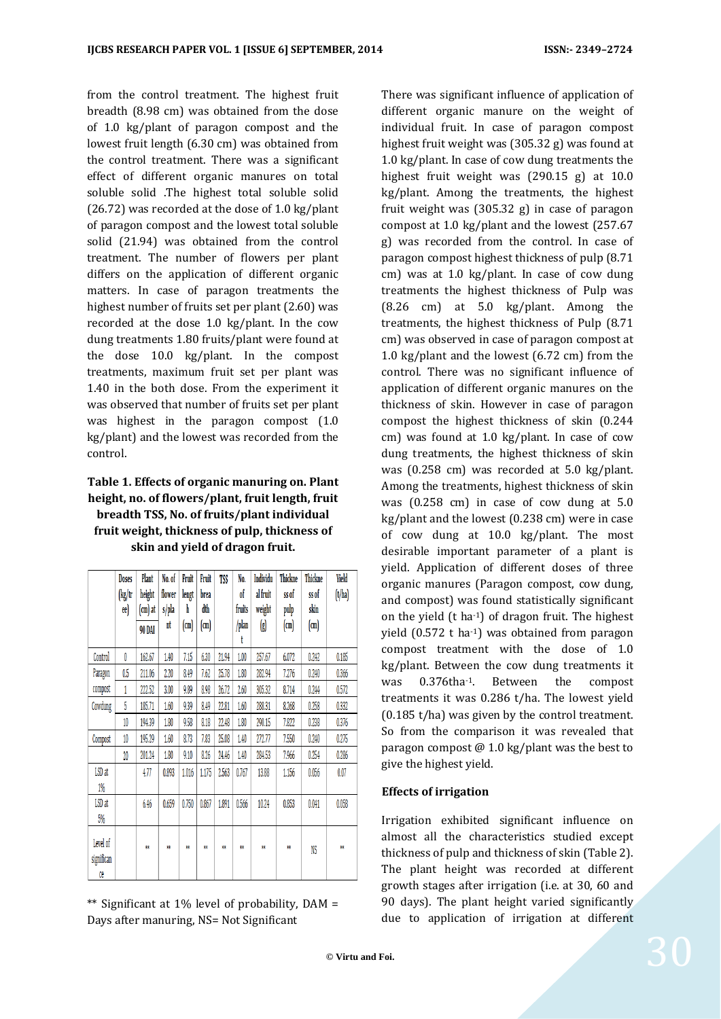from the control treatment. The highest fruit breadth (8.98 cm) was obtained from the dose of 1.0 kg/plant of paragon compost and the lowest fruit length (6.30 cm) was obtained from the control treatment. There was a significant effect of different organic manures on total soluble solid .The highest total soluble solid (26.72) was recorded at the dose of 1.0 kg/plant of paragon compost and the lowest total soluble solid (21.94) was obtained from the control treatment. The number of flowers per plant differs on the application of different organic matters. In case of paragon treatments the highest number of fruits set per plant (2.60) was recorded at the dose 1.0 kg/plant. In the cow dung treatments 1.80 fruits/plant were found at the dose 10.0 kg/plant. In the compost treatments, maximum fruit set per plant was 1.40 in the both dose. From the experiment it was observed that number of fruits set per plant was highest in the paragon compost (1.0 kg/plant) and the lowest was recorded from the control.

# **Table 1. Effects of organic manuring on. Plant height, no. of flowers/plant, fruit length, fruit breadth TSS, No. of fruits/plant individual fruit weight, thickness of pulp, thickness of skin and yield of dragon fruit.**

|                | Doses  | Plant   | No. of | Fruit | Fruit       | TSS   | No.        | Individu                                                    | <b>Thickne</b> | Thickne | Yield  |
|----------------|--------|---------|--------|-------|-------------|-------|------------|-------------------------------------------------------------|----------------|---------|--------|
|                | (kg/tr | height  | flower | lengt | brea        |       | of         | al fruit                                                    | ss of          | ss of   | (t/ha) |
|                | ee)    | (cm) at | s/pla  | h     | dth         |       | fruits     | weight                                                      | pulp           | skin    |        |
|                |        | 90 DAI  | nt     | (m)   | $\text{cm}$ |       | /plan<br>t | $\left(\begin{smallmatrix} 0 \\ 0 \end{smallmatrix}\right)$ | $\text{cm}$    | (m)     |        |
| <b>Control</b> | 0      | 162.67  | 1.40   | 7.15  | 6.30        | 21.94 | 1.00       | 257.67                                                      | 6.072          | 0.242   | 0.185  |
| Paragon        | 0.5    | 211.06  | 2.20   | 8.49  | 7.62        | 25.78 | 1.80       | 282.94                                                      | 7.276          | 0.240   | 0.366  |
| compost        | 1      | 222.52  | 3.00   | 9.89  | 8,98        | 26.72 | 2.60       | 305.32                                                      | 8.714          | 0.244   | 0.572  |
| Cowdung        | 5      | 185.71  | 1.60   | 9.39  | 8.49        | 22.81 | 1.60       | 288.31                                                      | 8.268          | 0.258   | 0.332  |
|                | 10     | 194.39  | 1.80   | 9.58  | 8.18        | 22.48 | 1.80       | 290.15                                                      | 7.822          | 0.238   | 0.376  |
| Compost        | 10     | 195.29  | 1.60   | 8.73  | 7.83        | 25.08 | 1.40       | 272.77                                                      | 7.550          | 0.240   | 0.275  |
|                | 20     | 201.24  | 1.80   | 9.10  | 8.26        | 24.46 | 1.40       | 284.53                                                      | 7.966          | 0.254   | 0.286  |
| LSD at         |        | 4.77    | 0.893  | 1.016 | 1.175       | 2.563 | 0.767      | 13.88                                                       | 1.156          | 0.056   | 0.07   |
| 1%             |        |         |        |       |             |       |            |                                                             |                |         |        |
| LSD at         |        | 6.46    | 0.659  | 0.750 | 0.867       | 1.891 | 0.566      | 10.24                                                       | 0.853          | 0.041   | 0.058  |
| 5%             |        |         |        |       |             |       |            |                                                             |                |         |        |
| Level of       |        |         |        |       |             |       |            |                                                             |                |         |        |
| significan     |        | Ħ       | ü      | 竸     | ü           | ü     | Ħ          | ü                                                           | ü              | NS      | ü      |
| ce             |        |         |        |       |             |       |            |                                                             |                |         |        |

\*\* Significant at 1% level of probability, DAM = Days after manuring, NS= Not Significant

There was significant influence of application of different organic manure on the weight of individual fruit. In case of paragon compost highest fruit weight was (305.32 g) was found at 1.0 kg/plant. In case of cow dung treatments the highest fruit weight was (290.15 g) at 10.0 kg/plant. Among the treatments, the highest fruit weight was (305.32 g) in case of paragon compost at 1.0 kg/plant and the lowest (257.67 g) was recorded from the control. In case of paragon compost highest thickness of pulp (8.71 cm) was at 1.0 kg/plant. In case of cow dung treatments the highest thickness of Pulp was (8.26 cm) at 5.0 kg/plant. Among the treatments, the highest thickness of Pulp (8.71 cm) was observed in case of paragon compost at 1.0 kg/plant and the lowest (6.72 cm) from the control. There was no significant influence of application of different organic manures on the thickness of skin. However in case of paragon compost the highest thickness of skin (0.244 cm) was found at 1.0 kg/plant. In case of cow dung treatments, the highest thickness of skin was (0.258 cm) was recorded at 5.0 kg/plant. Among the treatments, highest thickness of skin was (0.258 cm) in case of cow dung at 5.0 kg/plant and the lowest (0.238 cm) were in case of cow dung at 10.0 kg/plant. The most desirable important parameter of a plant is yield. Application of different doses of three organic manures (Paragon compost, cow dung, and compost) was found statistically significant on the yield (t ha-1) of dragon fruit. The highest yield (0.572 t ha-1) was obtained from paragon compost treatment with the dose of 1.0 kg/plant. Between the cow dung treatments it was 0.376tha<sup>-1</sup>. Between the compost treatments it was 0.286 t/ha. The lowest yield (0.185 t/ha) was given by the control treatment. So from the comparison it was revealed that paragon compost @ 1.0 kg/plant was the best to give the highest yield.

## **Effects of irrigation**

Irrigation exhibited significant influence on almost all the characteristics studied except thickness of pulp and thickness of skin (Table 2). The plant height was recorded at different growth stages after irrigation (i.e. at 30, 60 and 90 days). The plant height varied significantly due to application of irrigation at different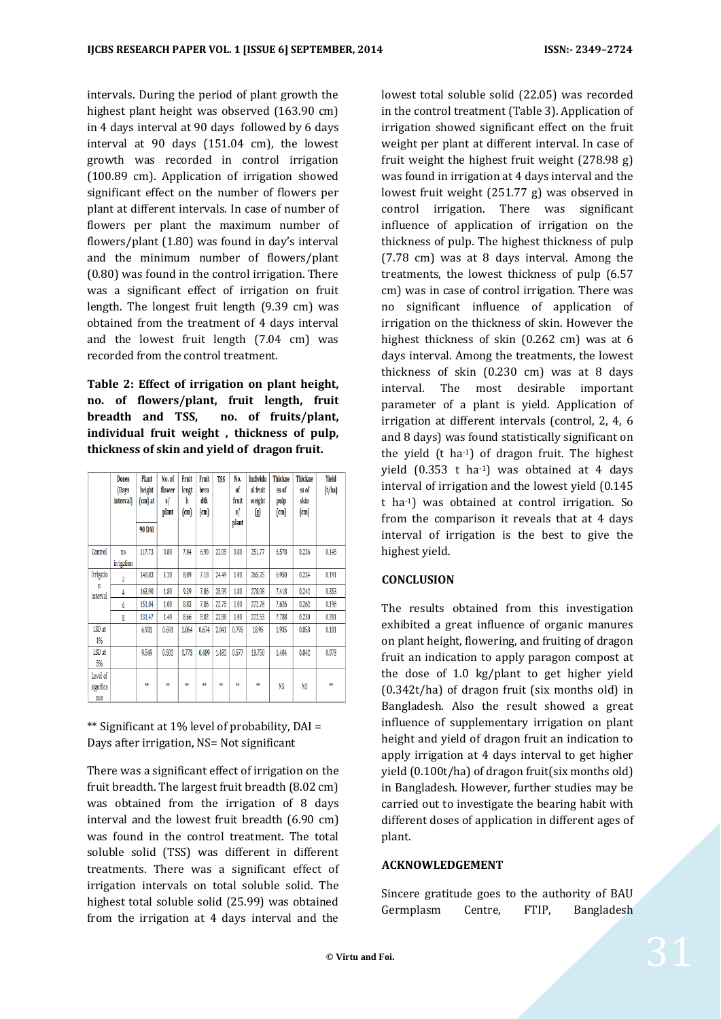intervals. During the period of plant growth the highest plant height was observed (163.90 cm) in 4 days interval at 90 days followed by 6 days interval at 90 days (151.04 cm), the lowest growth was recorded in control irrigation (100.89 cm). Application of irrigation showed significant effect on the number of flowers per plant at different intervals. In case of number of flowers per plant the maximum number of flowers/plant (1.80) was found in day's interval and the minimum number of flowers/plant (0.80) was found in the control irrigation. There was a significant effect of irrigation on fruit length. The longest fruit length (9.39 cm) was obtained from the treatment of 4 days interval and the lowest fruit length (7.04 cm) was recorded from the control treatment.

**Table 2: Effect of irrigation on plant height, no. of flowers/plant, fruit length, fruit breadth and TSS, no. of fruits/plant, individual fruit weight , thickness of pulp, thickness of skin and yield of dragon fruit.**

|                              | <b>Doses</b><br>(Days<br>interval) | Plant<br>height<br>$(cm)$ at<br><b>90 DAI</b> | No. of<br>flower<br>s/<br>plant | Fruit<br>lengt<br>h<br>$\text{cm}$ | Fruit<br>brea<br>dth<br>(m) | <b>TSS</b> | No.<br>of<br>fruit<br>s/<br>plant | Individu<br>al fruit<br>weight<br>(g) | <b>Thickne</b><br>ss of<br>pulp<br>(m) | <b>Thickne</b><br>ss of<br>skin<br>(cm) | <b>Yield</b><br>(t/ha) |
|------------------------------|------------------------------------|-----------------------------------------------|---------------------------------|------------------------------------|-----------------------------|------------|-----------------------------------|---------------------------------------|----------------------------------------|-----------------------------------------|------------------------|
| Control                      | no<br>irrigation                   | 117.73                                        | 0.80                            | 7.04                               | 6.90                        | 22.05      | 0.80                              | 251,77                                | 6.578                                  | 0.236                                   | 0.145                  |
| Irrigatio<br>n<br>interval   | $\overline{2}$                     | 148.83                                        | 1.20                            | 8.09                               | 7.18                        | 24.49      | 1.00                              | 265.25                                | 6.950                                  | 0.234                                   | 0.191                  |
|                              | 4                                  | 163.90                                        | 1.80                            | 9.39                               | 7.86                        | 25.99      | 1.80                              | 278.98                                | 7.418                                  | 0.242                                   | 0.353                  |
|                              | 6                                  | 151.04                                        | 1.00                            | 8.83                               | 7.86                        | 22.75      | 1.00                              | 272.76                                | 7.626                                  | 0.262                                   | 0.196                  |
|                              | 8                                  | 131.47                                        | 1.40                            | 8.66                               | 8.02                        | 22.88      | 1.00                              | 272.53                                | 7,788                                  | 0.230                                   | 0.201                  |
| LSD at<br>1%                 |                                    | 6.931                                         | 0.691                           | 1.064                              | 0.674                       | 2.041      | 0.795                             | 18.95                                 | 1.935                                  | 0.058                                   | 0.101                  |
| LSD at<br>5%                 |                                    | 9.549                                         | 0.502                           | 0.773                              | 0.489                       | 1.482      | 0.577                             | 13.750                                | 1.404                                  | 0.042                                   | 0.073                  |
| Level of<br>significa<br>nce |                                    | 雞                                             | 蕀                               | ŵ.                                 | m                           | 鉂          | ŔŔ                                | XX.                                   | NS                                     | NS                                      | 林                      |

\*\* Significant at 1% level of probability, DAI = Days after irrigation, NS= Not significant

There was a significant effect of irrigation on the fruit breadth. The largest fruit breadth (8.02 cm) was obtained from the irrigation of 8 days interval and the lowest fruit breadth (6.90 cm) was found in the control treatment. The total soluble solid (TSS) was different in different treatments. There was a significant effect of irrigation intervals on total soluble solid. The highest total soluble solid (25.99) was obtained from the irrigation at 4 days interval and the

lowest total soluble solid (22.05) was recorded in the control treatment (Table 3). Application of irrigation showed significant effect on the fruit weight per plant at different interval. In case of fruit weight the highest fruit weight (278.98 g) was found in irrigation at 4 days interval and the lowest fruit weight (251.77 g) was observed in control irrigation. There was significant influence of application of irrigation on the thickness of pulp. The highest thickness of pulp (7.78 cm) was at 8 days interval. Among the treatments, the lowest thickness of pulp (6.57 cm) was in case of control irrigation. There was no significant influence of application of irrigation on the thickness of skin. However the highest thickness of skin (0.262 cm) was at 6 days interval. Among the treatments, the lowest thickness of skin (0.230 cm) was at 8 days interval. The most desirable important parameter of a plant is yield. Application of irrigation at different intervals (control, 2, 4, 6 and 8 days) was found statistically significant on the yield (t ha-1) of dragon fruit. The highest yield (0.353 t ha-1) was obtained at 4 days interval of irrigation and the lowest yield (0.145 t ha-1) was obtained at control irrigation. So from the comparison it reveals that at 4 days interval of irrigation is the best to give the highest yield.

## **CONCLUSION**

The results obtained from this investigation exhibited a great influence of organic manures on plant height, flowering, and fruiting of dragon fruit an indication to apply paragon compost at the dose of 1.0 kg/plant to get higher yield (0.342t/ha) of dragon fruit (six months old) in Bangladesh. Also the result showed a great influence of supplementary irrigation on plant height and yield of dragon fruit an indication to apply irrigation at 4 days interval to get higher yield (0.100t/ha) of dragon fruit(six months old) in Bangladesh. However, further studies may be carried out to investigate the bearing habit with different doses of application in different ages of plant.

## **ACKNOWLEDGEMENT**

Sincere gratitude goes to the authority of BAU Germplasm Centre, FTIP, Bangladesh